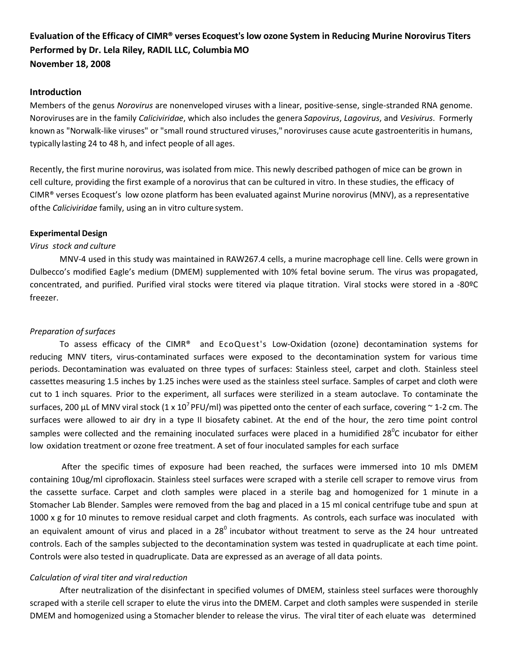# **Evaluation of the Efficacy of CIMR® verses Ecoquest's low ozone System in Reducing Murine Norovirus Titers Performed by Dr. Lela Riley, RADIL LLC, Columbia MO November 18, 2008**

#### **Introduction**

Members of the genus *Norovirus* are nonenveloped viruses with a linear, positive‐sense, single‐stranded RNA genome. Noroviruses are in the family *Caliciviridae*, which also includes the genera *Sapovirus*, *Lagovirus*, and *Vesivirus*. Formerly known as "Norwalk-like viruses" or "small round structured viruses," noroviruses cause acute gastroenteritis in humans, typically lasting 24 to 48 h, and infect people of all ages.

Recently, the first murine norovirus, was isolated from mice. This newly described pathogen of mice can be grown in cell culture, providing the first example of a norovirus that can be cultured in vitro. In these studies, the efficacy of CIMR® verses Ecoquest's low ozone platform has been evaluated against Murine norovirus (MNV), as a representative ofthe *Caliciviridae* family, using an in vitro culturesystem.

#### **Experimental Design**

#### *Virus stock and culture*

MNV‐4 used in this study was maintained in RAW267.4 cells, a murine macrophage cell line. Cells were grown in Dulbecco's modified Eagle's medium (DMEM) supplemented with 10% fetal bovine serum. The virus was propagated, concentrated, and purified. Purified viral stocks were titered via plaque titration. Viral stocks were stored in a ‐80ºC freezer.

#### **Preparation of surfaces**

To assess efficacy of the CIMR® and EcoQuest's Low‐Oxidation (ozone) decontamination systems for reducing MNV titers, virus‐contaminated surfaces were exposed to the decontamination system for various time periods. Decontamination was evaluated on three types of surfaces: Stainless steel, carpet and cloth. Stainless steel cassettes measuring 1.5 inches by 1.25 inches were used as the stainless steel surface. Samples of carpet and cloth were cut to 1 inch squares. Prior to the experiment, all surfaces were sterilized in a steam autoclave. To contaminate the surfaces, 200 µL of MNV viral stock (1 x 10<sup>7</sup> PFU/ml) was pipetted onto the center of each surface, covering  $\sim$  1-2 cm. The surfaces were allowed to air dry in a type II biosafety cabinet. At the end of the hour, the zero time point control samples were collected and the remaining inoculated surfaces were placed in a humidified 28<sup>0</sup>C incubator for either low oxidation treatment or ozone free treatment. A set of four inoculated samples for each surface

After the specific times of exposure had been reached, the surfaces were immersed into 10 mls DMEM containing 10ug/ml ciprofloxacin. Stainless steel surfaces were scraped with a sterile cell scraper to remove virus from the cassette surface. Carpet and cloth samples were placed in a sterile bag and homogenized for 1 minute in a Stomacher Lab Blender. Samples were removed from the bag and placed in a 15 ml conical centrifuge tube and spun at 1000 x g for 10 minutes to remove residual carpet and cloth fragments. As controls, each surface was inoculated with an equivalent amount of virus and placed in a  $28^{\circ}$  incubator without treatment to serve as the 24 hour untreated controls. Each of the samples subjected to the decontamination system was tested in quadruplicate at each time point. Controls were also tested in quadruplicate. Data are expressed as an average of all data points.

### *Calculation of viral titer and viralreduction*

After neutralization of the disinfectant in specified volumes of DMEM, stainless steel surfaces were thoroughly scraped with a sterile cell scraper to elute the virus into the DMEM. Carpet and cloth samples were suspended in sterile DMEM and homogenized using a Stomacher blender to release the virus. The viral titer of each eluate was determined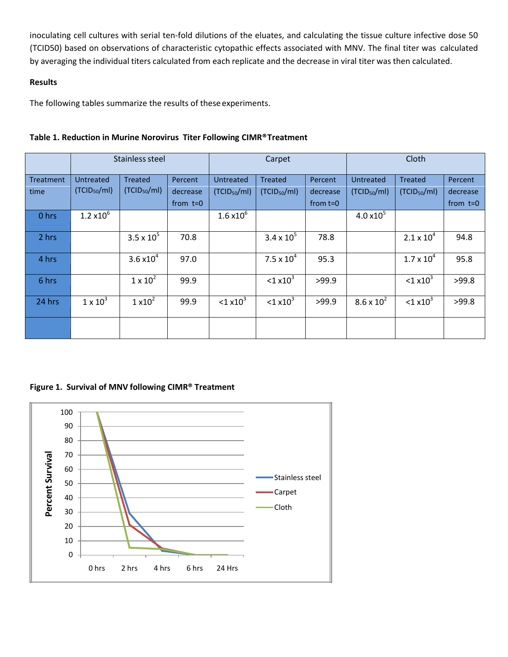inoculating cell cultures with serial ten-fold dilutions of the eluates, and calculating the tissue culture infective dose 50 (TCID50) based on observations of characteristic cytopathic effects associated with MNV. The final titer was calculated by averaging the individual titers calculated from each replicate and the decrease in viral titer was then calculated.

# **Results**

The following tables summarize the results of these experiments.

|                  | Stainless steel          |                          |            | Carpet                   |                          |            | Cloth                    |                          |            |
|------------------|--------------------------|--------------------------|------------|--------------------------|--------------------------|------------|--------------------------|--------------------------|------------|
| <b>Treatment</b> | Untreated                | <b>Treated</b>           | Percent    | <b>Untreated</b>         | <b>Treated</b>           | Percent    | <b>Untreated</b>         | <b>Treated</b>           | Percent    |
| time             | (TCID <sub>50</sub> /ml) | (TCID <sub>50</sub> /ml) | decrease   | (TCID <sub>50</sub> /ml) | (TCID <sub>50</sub> /ml) | decrease   | (TCID <sub>50</sub> /ml) | (TCID <sub>50</sub> /ml) | decrease   |
|                  |                          |                          | from $t=0$ |                          |                          | from $t=0$ |                          |                          | from $t=0$ |
| 0 hrs            | $1.2 \times 10^{6}$      |                          |            | $1.6 \times 10^{6}$      |                          |            | $4.0 \times 10^{5}$      |                          |            |
| 2 hrs            |                          | $3.5 \times 10^{5}$      | 70.8       |                          | $3.4 \times 10^{5}$      | 78.8       |                          | $2.1 \times 10^{4}$      | 94.8       |
| 4 hrs            |                          | 3.6 $\times 10^4$        | 97.0       |                          | $7.5 \times 10^{4}$      | 95.3       |                          | $1.7 \times 10^{4}$      | 95.8       |
| 6 hrs            |                          | $1 \times 10^2$          | 99.9       |                          | $< 1 \times 10^3$        | >99.9      |                          | $< 1 \times 10^3$        | >99.8      |
| 24 hrs           | $1 \times 10^3$          | $1 \times 10^2$          | 99.9       | $<$ 1 x10 <sup>3</sup>   | $1 \times 10^3$          | >99.9      | $8.6 \times 10^{2}$      | $< 1 \times 10^3$        | >99.8      |
|                  |                          |                          |            |                          |                          |            |                          |                          |            |

# **Table 1. Reduction in Murine Norovirus Titer Following CIMR®Treatment**

**Figure 1. Survival of MNV following CIMR® Treatment**

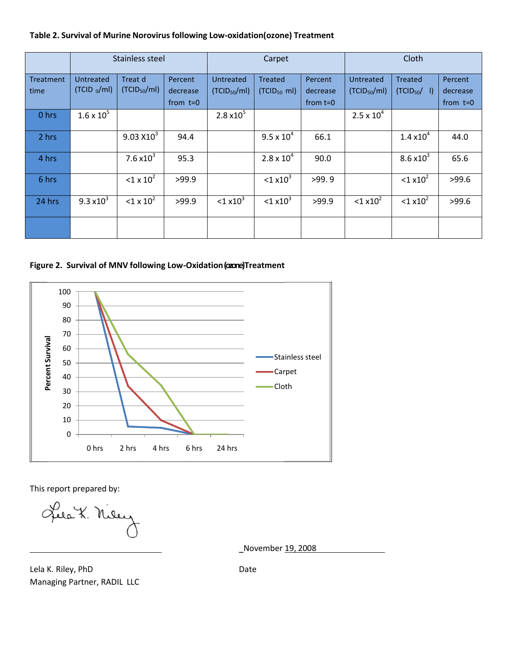### **Table 2. Survival of Murine Norovirus following Low‐oxidation(ozone) Treatment**

|                          | Stainless steel            |                                     |                                   | Carpet                                       |                                           |                                   | Cloth                                 |                                            |                                   |
|--------------------------|----------------------------|-------------------------------------|-----------------------------------|----------------------------------------------|-------------------------------------------|-----------------------------------|---------------------------------------|--------------------------------------------|-----------------------------------|
| <b>Treatment</b><br>time | Untreated<br>$(TCID_0/ml)$ | Treat d<br>(TCID <sub>50</sub> /ml) | Percent<br>decrease<br>from $t=0$ | <b>Untreated</b><br>(TCID <sub>50</sub> /ml) | <b>Treated</b><br>(TCID <sub>50</sub> ml) | Percent<br>decrease<br>from $t=0$ | Untreated<br>(TCID <sub>50</sub> /ml) | <b>Treated</b><br>(TCID <sub>50</sub> / I) | Percent<br>decrease<br>from $t=0$ |
| 0 hrs                    | $1.6 \times 10^{5}$        |                                     |                                   | $2.8 \times 10^{5}$                          |                                           |                                   | $2.5 \times 10^{4}$                   |                                            |                                   |
| 2 hrs                    |                            | 9.03 X10 <sup>3</sup>               | 94.4                              |                                              | $9.5 \times 10^{4}$                       | 66.1                              |                                       | $1.4 \times 10^{4}$                        | 44.0                              |
| 4 hrs                    |                            | 7.6 $x10^3$                         | 95.3                              |                                              | $2.8 \times 10^{4}$                       | 90.0                              |                                       | $8.6 \times 10^{3}$                        | 65.6                              |
| 6 hrs                    |                            | $1 \times 10^2$                     | >99.9                             |                                              | $<$ 1 x10 <sup>3</sup>                    | >99.9                             |                                       | $<$ 1 x10 <sup>2</sup>                     | >99.6                             |
| 24 hrs                   | $9.3 \times 10^{3}$        | $< 1 \times 10^2$                   | >99.9                             | $<$ 1 x10 <sup>3</sup>                       | $< 1 \times 10^3$                         | >99.9                             | $<$ 1 x10 <sup>2</sup>                | $<$ 1 x10 <sup>2</sup>                     | >99.6                             |
|                          |                            |                                     |                                   |                                              |                                           |                                   |                                       |                                            |                                   |

**Figure 2. Survival of MNV following Low‐Oxidation(ozone) Treatment**



This report prepared by:

Les X. Niey

\_November 19, 2008

Lela K. Riley, PhD Managing Partner, RADIL LLC

Date